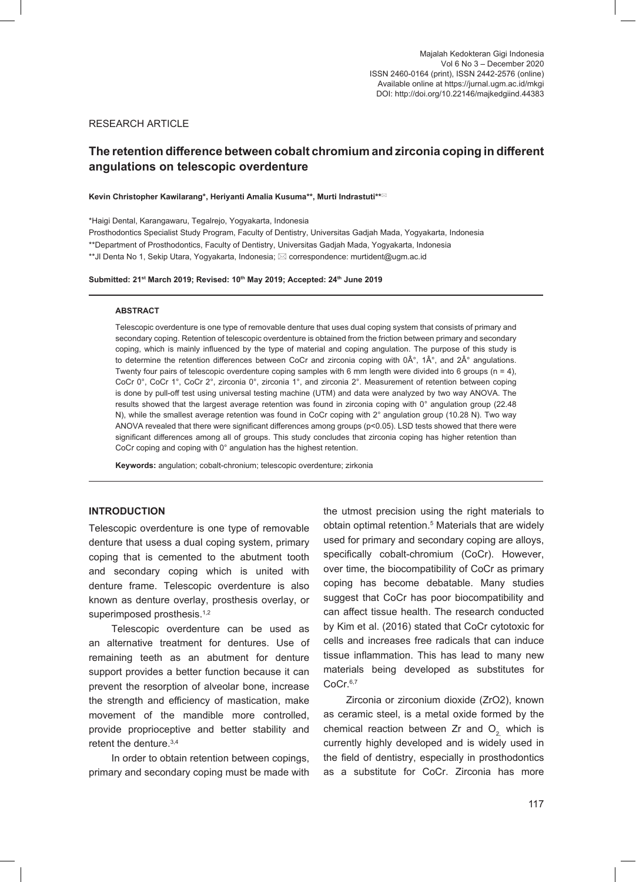## RESEARCH ARTICLE

# **The retention difference between cobalt chromium and zirconia coping in different angulations on telescopic overdenture**

#### **Kevin Christopher Kawilarang\*, Heriyanti Amalia Kusuma\*\*, Murti Indrastuti\*\***

\*Haigi Dental, Karangawaru, Tegalrejo, Yogyakarta, Indonesia Prosthodontics Specialist Study Program, Faculty of Dentistry, Universitas Gadjah Mada, Yogyakarta, Indonesia \*\*Department of Prosthodontics, Faculty of Dentistry, Universitas Gadjah Mada, Yogyakarta, Indonesia \*\*Jl Denta No 1, Sekip Utara, Yogyakarta, Indonesia;  $\boxtimes$  correspondence: murtident@ugm.ac.id

#### **Submitted: 21st March 2019; Revised: 10th May 2019; Accepted: 24th June 2019**

#### **ABSTRACT**

Telescopic overdenture is one type of removable denture that uses dual coping system that consists of primary and secondary coping. Retention of telescopic overdenture is obtained from the friction between primary and secondary coping, which is mainly influenced by the type of material and coping angulation. The purpose of this study is to determine the retention differences between CoCr and zirconia coping with  $0\hat{A}^\circ$ ,  $1\hat{A}^\circ$ , and  $2\hat{A}^\circ$  angulations. Twenty four pairs of telescopic overdenture coping samples with 6 mm length were divided into 6 groups ( $n = 4$ ), CoCr 0°, CoCr 1°, CoCr 2°, zirconia 0°, zirconia 1°, and zirconia 2°. Measurement of retention between coping is done by pull-off test using universal testing machine (UTM) and data were analyzed by two way ANOVA. The results showed that the largest average retention was found in zirconia coping with 0° angulation group (22.48 N), while the smallest average retention was found in CoCr coping with 2° angulation group (10.28 N). Two way ANOVA revealed that there were significant differences among groups (p<0.05). LSD tests showed that there were significant differences among all of groups. This study concludes that zirconia coping has higher retention than CoCr coping and coping with 0° angulation has the highest retention.

**Keywords:** angulation; cobalt-chronium; telescopic overdenture; zirkonia

### **INTRODUCTION**

Telescopic overdenture is one type of removable denture that usess a dual coping system, primary coping that is cemented to the abutment tooth and secondary coping which is united with denture frame. Telescopic overdenture is also known as denture overlay, prosthesis overlay, or superimposed prosthesis.<sup>1,2</sup>

Telescopic overdenture can be used as an alternative treatment for dentures. Use of remaining teeth as an abutment for denture support provides a better function because it can prevent the resorption of alveolar bone, increase the strength and efficiency of mastication, make movement of the mandible more controlled, provide proprioceptive and better stability and retent the denture.<sup>3,4</sup>

In order to obtain retention between copings, primary and secondary coping must be made with

the utmost precision using the right materials to obtain optimal retention.<sup>5</sup> Materials that are widely used for primary and secondary coping are alloys, specifically cobalt-chromium (CoCr). However, over time, the biocompatibility of CoCr as primary coping has become debatable. Many studies suggest that CoCr has poor biocompatibility and can affect tissue health. The research conducted by Kim et al. (2016) stated that CoCr cytotoxic for cells and increases free radicals that can induce tissue inflammation. This has lead to many new materials being developed as substitutes for CoCr.<sup>6,7</sup>

Zirconia or zirconium dioxide (ZrO2), known as ceramic steel, is a metal oxide formed by the chemical reaction between Zr and  $O<sub>2</sub>$  which is currently highly developed and is widely used in the field of dentistry, especially in prosthodontics as a substitute for CoCr. Zirconia has more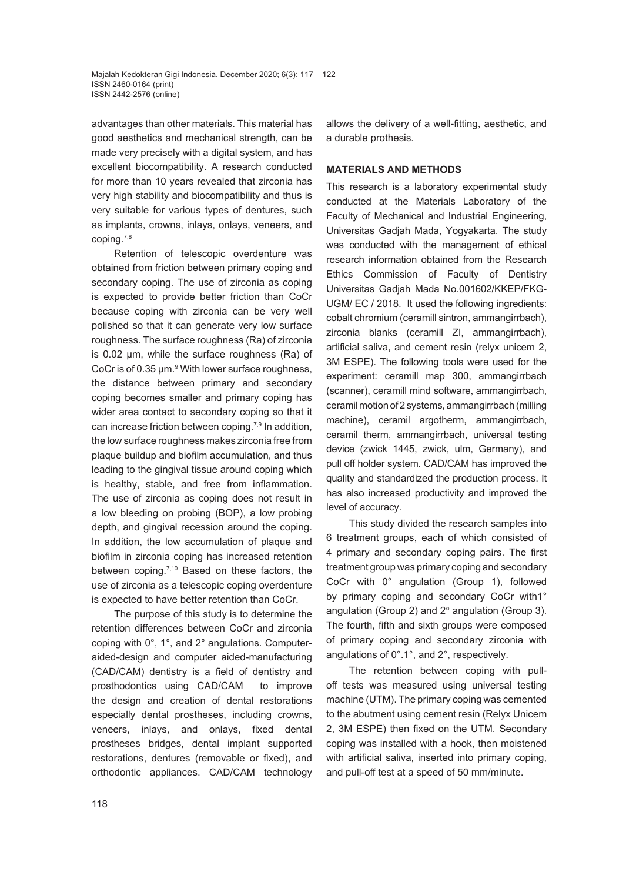advantages than other materials. This material has good aesthetics and mechanical strength, can be made very precisely with a digital system, and has excellent biocompatibility. A research conducted for more than 10 years revealed that zirconia has very high stability and biocompatibility and thus is very suitable for various types of dentures, such as implants, crowns, inlays, onlays, veneers, and coping.7,8

Retention of telescopic overdenture was obtained from friction between primary coping and secondary coping. The use of zirconia as coping is expected to provide better friction than CoCr because coping with zirconia can be very well polished so that it can generate very low surface roughness. The surface roughness (Ra) of zirconia is 0.02 µm, while the surface roughness (Ra) of CoCr is of 0.35  $\mu$ m.<sup>9</sup> With lower surface roughness, the distance between primary and secondary coping becomes smaller and primary coping has wider area contact to secondary coping so that it can increase friction between coping.7,9 In addition, the low surface roughness makes zirconia free from plaque buildup and biofilm accumulation, and thus leading to the gingival tissue around coping which is healthy, stable, and free from inflammation. The use of zirconia as coping does not result in a low bleeding on probing (BOP), a low probing depth, and gingival recession around the coping. In addition, the low accumulation of plaque and biofilm in zirconia coping has increased retention between coping.<sup>7,10</sup> Based on these factors, the use of zirconia as a telescopic coping overdenture is expected to have better retention than CoCr.

The purpose of this study is to determine the retention differences between CoCr and zirconia coping with 0°, 1°, and 2° angulations. Computeraided-design and computer aided-manufacturing (CAD/CAM) dentistry is a field of dentistry and prosthodontics using CAD/CAM to improve the design and creation of dental restorations especially dental prostheses, including crowns, veneers, inlays, and onlays, fixed dental prostheses bridges, dental implant supported restorations, dentures (removable or fixed), and orthodontic appliances. CAD/CAM technology allows the delivery of a well-fitting, aesthetic, and a durable prothesis.

#### **MATERIALS AND METHODS**

This research is a laboratory experimental study conducted at the Materials Laboratory of the Faculty of Mechanical and Industrial Engineering, Universitas Gadjah Mada, Yogyakarta. The study was conducted with the management of ethical research information obtained from the Research Ethics Commission of Faculty of Dentistry Universitas Gadjah Mada No.001602/KKEP/FKG-UGM/ EC / 2018.It used the following ingredients: cobalt chromium (ceramill sintron, ammangirrbach), zirconia blanks (ceramill ZI, ammangirrbach), artificial saliva, and cement resin (relyx unicem 2, 3M ESPE). The following tools were used for the experiment: ceramill map 300, ammangirrbach (scanner), ceramill mind software, ammangirrbach, ceramil motion of 2 systems, ammangirrbach (milling machine), ceramil argotherm, ammangirrbach, ceramil therm, ammangirrbach, universal testing device (zwick 1445, zwick, ulm, Germany), and pull off holder system*.* CAD/CAM has improved the quality and standardized the production process. It has also increased productivity and improved the level of accuracy.

This study divided the research samples into 6 treatment groups, each of which consisted of 4 primary and secondary coping pairs. The first treatment group was primary coping and secondary CoCr with 0° angulation (Group 1), followed by primary coping and secondary CoCr with1° angulation (Group 2) and 2° angulation (Group 3). The fourth, fifth and sixth groups were composed of primary coping and secondary zirconia with angulations of 0°.1°, and 2°, respectively.

The retention between coping with pulloff tests was measured using universal testing machine (UTM). The primary coping was cemented to the abutment using cement resin (Relyx Unicem 2, 3M ESPE) then fixed on the UTM. Secondary coping was installed with a hook, then moistened with artificial saliva, inserted into primary coping, and pull-off test at a speed of 50 mm/minute.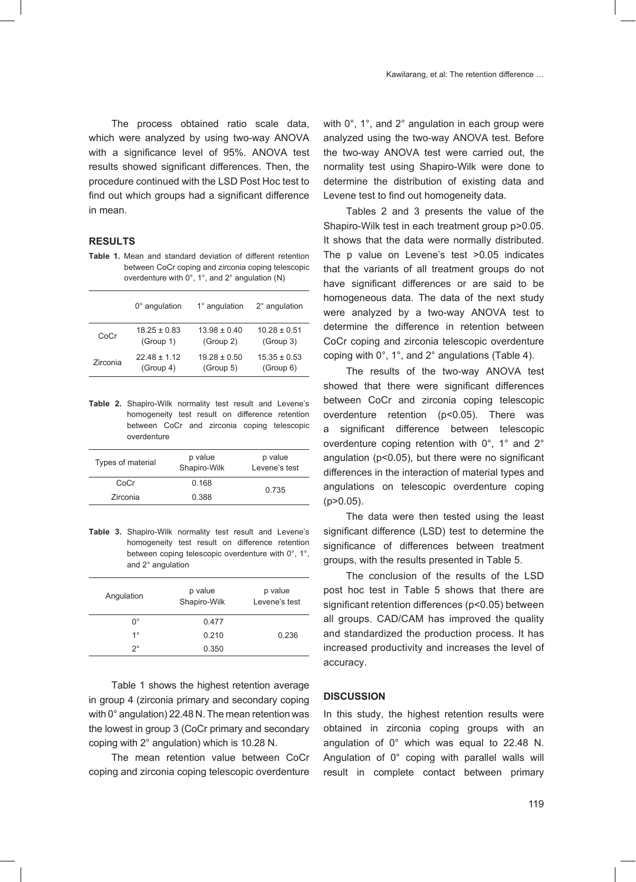The process obtained ratio scale data, which were analyzed by using two-way ANOVA with a significance level of 95%. ANOVA test results showed significant differences. Then, the procedure continued with the LSD Post Hoc test to find out which groups had a significant difference in mean.

## **RESULTS**

**Table 1.** Mean and standard deviation of different retention between CoCr coping and zirconia coping telescopic overdenture with 0°, 1°, and 2° angulation (N)

|          | $0^\circ$ angulation | 1° angulation    | 2° angulation    |
|----------|----------------------|------------------|------------------|
| CoCr     | $18.25 \pm 0.83$     | $13.98 \pm 0.40$ | $10.28 \pm 0.51$ |
|          | (Group 1)            | (Group 2)        | (Group 3)        |
| Zirconia | $22.48 \pm 1.12$     | $19.28 + 0.50$   | $15.35 \pm 0.53$ |
|          | (Group 4)            | (Group 5)        | (Group 6)        |

**Table 2.** Shapiro-Wilk normality test result and Levene's homogeneity test result on difference retention between CoCr and zirconia coping telescopic overdenture

| Types of material | p value<br>Shapiro-Wilk | p value<br>I evene's test |  |
|-------------------|-------------------------|---------------------------|--|
| CoCr              | 0.168                   | 0.735                     |  |
| Zirconia          | 0.388                   |                           |  |

**Table 3.** Shapiro-Wilk normality test result and Levene's homogeneity test result on difference retention between coping telescopic overdenture with 0°, 1°, and 2° angulation

| Angulation  | p value<br>Shapiro-Wilk | p value<br>I evene's test |  |
|-------------|-------------------------|---------------------------|--|
| ∩°          | 0.477                   |                           |  |
| $1^{\circ}$ | 0.210                   | 0.236                     |  |
| $2^{\circ}$ | 0.350                   |                           |  |

Table 1 shows the highest retention average in group 4 (zirconia primary and secondary coping with 0° angulation) 22.48 N. The mean retention was the lowest in group 3 (CoCr primary and secondary coping with 2° angulation) which is 10.28 N.

The mean retention value between CoCr coping and zirconia coping telescopic overdenture

with  $0^\circ$ , 1°, and  $2^\circ$  angulation in each group were analyzed using the two-way ANOVA test. Before the two-way ANOVA test were carried out, the normality test using Shapiro-Wilk were done to determine the distribution of existing data and Levene test to find out homogeneity data.

Tables 2 and 3 presents the value of the Shapiro-Wilk test in each treatment group p>0.05. It shows that the data were normally distributed. The p value on Levene's test >0.05 indicates that the variants of all treatment groups do not have significant differences or are said to be homogeneous data. The data of the next study were analyzed by a two-way ANOVA test to determine the difference in retention between CoCr coping and zirconia telescopic overdenture coping with 0°, 1°, and 2° angulations (Table 4).

The results of the two-way ANOVA test showed that there were significant differences between CoCr and zirconia coping telescopic overdenture retention (p<0.05). There was a significant difference between telescopic overdenture coping retention with 0°, 1° and 2° angulation (p<0.05), but there were no significant differences in the interaction of material types and angulations on telescopic overdenture coping (p>0.05).

The data were then tested using the least significant difference (LSD) test to determine the significance of differences between treatment groups, with the results presented in Table 5.

The conclusion of the results of the LSD post hoc test in Table 5 shows that there are significant retention differences (p<0.05) between all groups. CAD/CAM has improved the quality and standardized the production process. It has increased productivity and increases the level of accuracy.

#### **DISCUSSION**

In this study, the highest retention results were obtained in zirconia coping groups with an angulation of 0° which was equal to 22.48 N. Angulation of 0° coping with parallel walls will result in complete contact between primary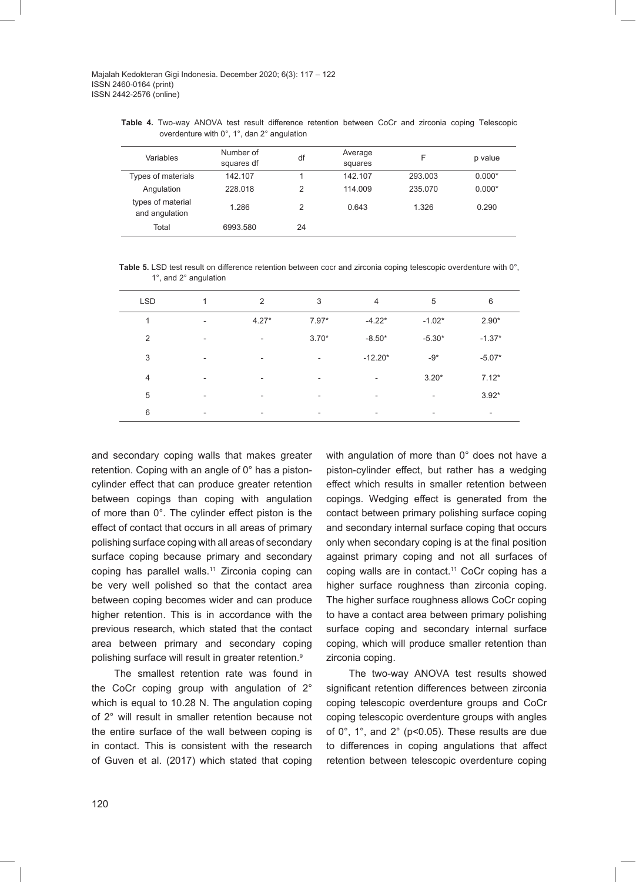Majalah Kedokteran Gigi Indonesia. December 2020; 6(3): 117 – 122 ISSN 2460-0164 (print) ISSN 2442-2576 (online)

**Table 4.** Two-way ANOVA test result difference retention between CoCr and zirconia coping Telescopic overdenture with 0°, 1°, dan 2° angulation

| Variables                           | Number of<br>squares df | df | Average<br>squares |         | p value  |
|-------------------------------------|-------------------------|----|--------------------|---------|----------|
| Types of materials                  | 142.107                 |    | 142.107            | 293.003 | $0.000*$ |
| Angulation                          | 228,018                 | 2  | 114.009            | 235.070 | $0.000*$ |
| types of material<br>and angulation | 1.286                   | 2  | 0.643              | 1.326   | 0.290    |
| Total                               | 6993.580                | 24 |                    |         |          |

**Table 5.** LSD test result on difference retention between cocr and zirconia coping telescopic overdenture with 0°, 1°, and 2° angulation

| <b>LSD</b>     | 1                        | $\overline{2}$           | 3                        | 4                        | 5                        | 6                        |
|----------------|--------------------------|--------------------------|--------------------------|--------------------------|--------------------------|--------------------------|
| 1              | $\overline{\phantom{0}}$ | $4.27*$                  | $7.97*$                  | $-4.22*$                 | $-1.02*$                 | $2.90*$                  |
| $\overline{2}$ | $\overline{\phantom{0}}$ | $\overline{\phantom{a}}$ | $3.70*$                  | $-8.50*$                 | $-5.30*$                 | $-1.37*$                 |
| 3              | $\overline{\phantom{0}}$ | $\overline{\phantom{a}}$ | $\overline{\phantom{a}}$ | $-12.20*$                | $-9*$                    | $-5.07*$                 |
| $\overline{4}$ | $\overline{\phantom{0}}$ | $\overline{\phantom{a}}$ | ٠                        | $\overline{\phantom{a}}$ | $3.20*$                  | $7.12*$                  |
| 5              | $\overline{\phantom{0}}$ | $\overline{\phantom{a}}$ | ٠                        | $\overline{\phantom{a}}$ | $\overline{\phantom{a}}$ | $3.92*$                  |
| 6              |                          | $\overline{\phantom{a}}$ | $\overline{\phantom{a}}$ |                          | $\overline{\phantom{0}}$ | $\overline{\phantom{a}}$ |

and secondary coping walls that makes greater retention. Coping with an angle of 0° has a pistoncylinder effect that can produce greater retention between copings than coping with angulation of more than 0°. The cylinder effect piston is the effect of contact that occurs in all areas of primary polishing surface coping with all areas of secondary surface coping because primary and secondary coping has parallel walls.<sup>11</sup> Zirconia coping can be very well polished so that the contact area between coping becomes wider and can produce higher retention. This is in accordance with the previous research, which stated that the contact area between primary and secondary coping polishing surface will result in greater retention.<sup>9</sup>

The smallest retention rate was found in the CoCr coping group with angulation of 2° which is equal to 10.28 N. The angulation coping of 2° will result in smaller retention because not the entire surface of the wall between coping is in contact. This is consistent with the research of Guven et al. (2017) which stated that coping

with angulation of more than 0° does not have a piston-cylinder effect, but rather has a wedging effect which results in smaller retention between copings. Wedging effect is generated from the contact between primary polishing surface coping and secondary internal surface coping that occurs only when secondary coping is at the final position against primary coping and not all surfaces of coping walls are in contact.<sup>11</sup> CoCr coping has a higher surface roughness than zirconia coping. The higher surface roughness allows CoCr coping to have a contact area between primary polishing surface coping and secondary internal surface coping, which will produce smaller retention than zirconia coping.

The two-way ANOVA test results showed significant retention differences between zirconia coping telescopic overdenture groups and CoCr coping telescopic overdenture groups with angles of 0°, 1°, and 2° (p<0.05). These results are due to differences in coping angulations that affect retention between telescopic overdenture coping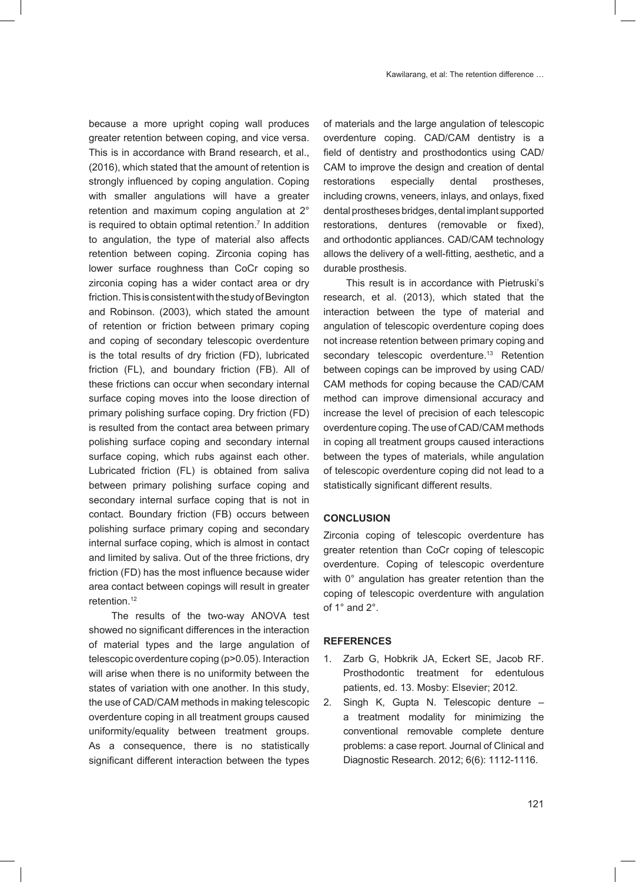because a more upright coping wall produces greater retention between coping, and vice versa. This is in accordance with Brand research, et al., (2016), which stated that the amount of retention is strongly influenced by coping angulation. Coping with smaller angulations will have a greater retention and maximum coping angulation at 2° is required to obtain optimal retention.<sup>7</sup> In addition to angulation, the type of material also affects retention between coping. Zirconia coping has lower surface roughness than CoCr coping so zirconia coping has a wider contact area or dry friction. This is consistent with the study of Bevington and Robinson. (2003), which stated the amount of retention or friction between primary coping and coping of secondary telescopic overdenture is the total results of dry friction (FD), lubricated friction (FL), and boundary friction (FB). All of these frictions can occur when secondary internal surface coping moves into the loose direction of primary polishing surface coping. Dry friction (FD) is resulted from the contact area between primary polishing surface coping and secondary internal surface coping, which rubs against each other. Lubricated friction (FL) is obtained from saliva between primary polishing surface coping and secondary internal surface coping that is not in contact. Boundary friction (FB) occurs between polishing surface primary coping and secondary internal surface coping, which is almost in contact and limited by saliva. Out of the three frictions, dry friction (FD) has the most influence because wider area contact between copings will result in greater retention.<sup>12</sup>

The results of the two-way ANOVA test showed no significant differences in the interaction of material types and the large angulation of telescopic overdenture coping (p>0.05). Interaction will arise when there is no uniformity between the states of variation with one another. In this study, the use of CAD/CAM methods in making telescopic overdenture coping in all treatment groups caused uniformity/equality between treatment groups. As a consequence, there is no statistically significant different interaction between the types

of materials and the large angulation of telescopic overdenture coping. CAD/CAM dentistry is a field of dentistry and prosthodontics using CAD/ CAM to improve the design and creation of dental restorations especially dental prostheses, including crowns, veneers, inlays, and onlays, fixed dental prostheses bridges, dental implant supported restorations, dentures (removable or fixed), and orthodontic appliances. CAD/CAM technology allows the delivery of a well-fitting, aesthetic, and a durable prosthesis.

This result is in accordance with Pietruski's research, et al. (2013), which stated that the interaction between the type of material and angulation of telescopic overdenture coping does not increase retention between primary coping and secondary telescopic overdenture.<sup>13</sup> Retention between copings can be improved by using CAD/ CAM methods for coping because the CAD/CAM method can improve dimensional accuracy and increase the level of precision of each telescopic overdenture coping. The use of CAD/CAM methods in coping all treatment groups caused interactions between the types of materials, while angulation of telescopic overdenture coping did not lead to a statistically significant different results.

## **CONCLUSION**

Zirconia coping of telescopic overdenture has greater retention than CoCr coping of telescopic overdenture. Coping of telescopic overdenture with 0° angulation has greater retention than the coping of telescopic overdenture with angulation of 1° and 2°.

### **REFERENCES**

- 1. Zarb G, Hobkrik JA, Eckert SE, Jacob RF. Prosthodontic treatment for edentulous patients, ed. 13. Mosby: Elsevier; 2012.
- 2. Singh K, Gupta N. Telescopic denture a treatment modality for minimizing the conventional removable complete denture problems: a case report. Journal of Clinical and Diagnostic Research. 2012; 6(6): 1112-1116.